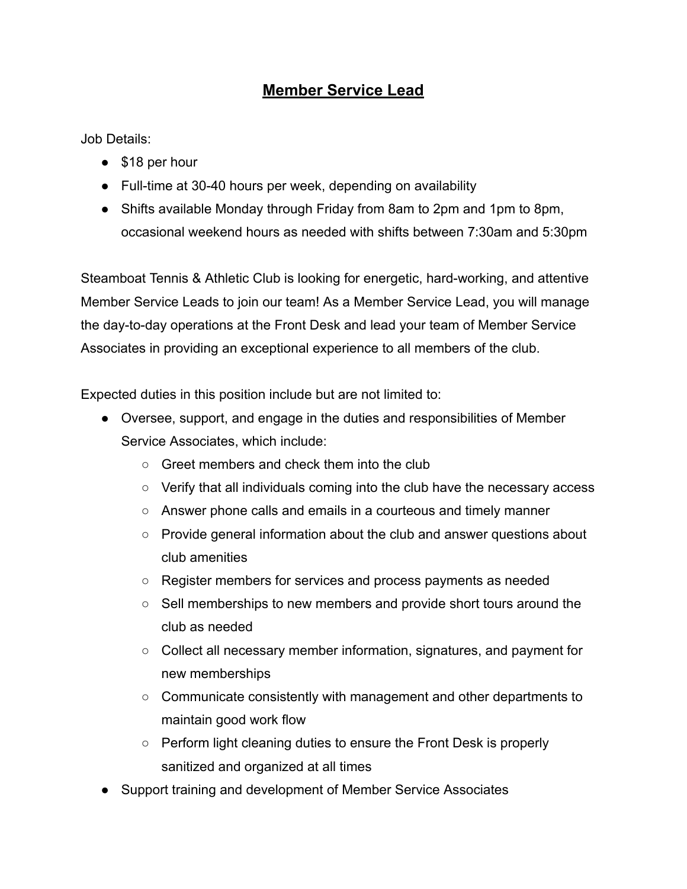## **Member Service Lead**

Job Details:

- \$18 per hour
- Full-time at 30-40 hours per week, depending on availability
- Shifts available Monday through Friday from 8am to 2pm and 1pm to 8pm, occasional weekend hours as needed with shifts between 7:30am and 5:30pm

Steamboat Tennis & Athletic Club is looking for energetic, hard-working, and attentive Member Service Leads to join our team! As a Member Service Lead, you will manage the day-to-day operations at the Front Desk and lead your team of Member Service Associates in providing an exceptional experience to all members of the club.

Expected duties in this position include but are not limited to:

- Oversee, support, and engage in the duties and responsibilities of Member Service Associates, which include:
	- Greet members and check them into the club
	- $\circ$  Verify that all individuals coming into the club have the necessary access
	- Answer phone calls and emails in a courteous and timely manner
	- Provide general information about the club and answer questions about club amenities
	- Register members for services and process payments as needed
	- Sell memberships to new members and provide short tours around the club as needed
	- Collect all necessary member information, signatures, and payment for new memberships
	- Communicate consistently with management and other departments to maintain good work flow
	- Perform light cleaning duties to ensure the Front Desk is properly sanitized and organized at all times
- Support training and development of Member Service Associates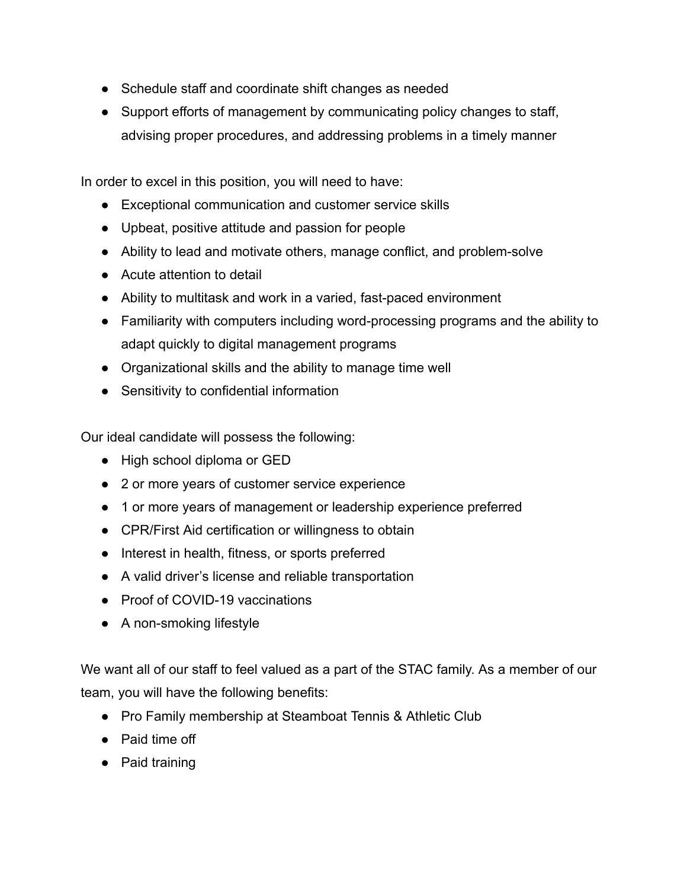- Schedule staff and coordinate shift changes as needed
- Support efforts of management by communicating policy changes to staff, advising proper procedures, and addressing problems in a timely manner

In order to excel in this position, you will need to have:

- Exceptional communication and customer service skills
- Upbeat, positive attitude and passion for people
- Ability to lead and motivate others, manage conflict, and problem-solve
- Acute attention to detail
- Ability to multitask and work in a varied, fast-paced environment
- Familiarity with computers including word-processing programs and the ability to adapt quickly to digital management programs
- Organizational skills and the ability to manage time well
- Sensitivity to confidential information

Our ideal candidate will possess the following:

- High school diploma or GED
- 2 or more years of customer service experience
- 1 or more years of management or leadership experience preferred
- CPR/First Aid certification or willingness to obtain
- Interest in health, fitness, or sports preferred
- A valid driver's license and reliable transportation
- Proof of COVID-19 vaccinations
- A non-smoking lifestyle

We want all of our staff to feel valued as a part of the STAC family. As a member of our team, you will have the following benefits:

- Pro Family membership at Steamboat Tennis & Athletic Club
- Paid time off
- Paid training